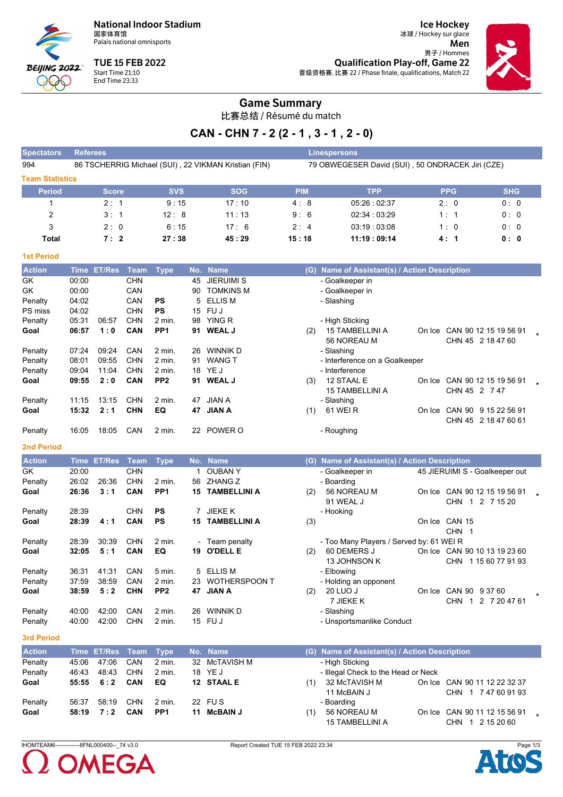**National Indoor Stadium** 国家体育馆

Palais national omnisports



**TUE 15 FEB 2022** Start Time 21:10<br>End Time 23:33

冰球 / Hockey sur glace Men 男子 / Hommes **Qualification Play-off, Game 22** 晋级资格赛, 比赛 22 / Phase finale, qualifications, Match 22

**Ice Hockey** 



## **Game Summary**

比赛总结 / Résumé du match

# CAN - CHN 7 - 2 (2 - 1, 3 - 1, 2 - 0)

| <b>Spectators</b>      | <b>Referees</b> |                  |            |                        |          |                                                      |            | <b>Linespersons</b>                              |                        |                                |  |
|------------------------|-----------------|------------------|------------|------------------------|----------|------------------------------------------------------|------------|--------------------------------------------------|------------------------|--------------------------------|--|
| 994                    |                 |                  |            |                        |          | 86 TSCHERRIG Michael (SUI), 22 VIKMAN Kristian (FIN) |            | 79 OBWEGESER David (SUI), 50 ONDRACEK Jiri (CZE) |                        |                                |  |
| <b>Team Statistics</b> |                 |                  |            |                        |          |                                                      |            |                                                  |                        |                                |  |
| <b>Period</b>          |                 | <b>Score</b>     |            | <b>SVS</b>             |          | <b>SOG</b>                                           | <b>PIM</b> | <b>TPP</b>                                       | <b>PPG</b>             | <b>SHG</b>                     |  |
| 1                      |                 | 2:1              |            | 9:15                   |          | 17:10                                                | 4:8        | 05:26:02:37                                      | 2:0                    | 0:0                            |  |
| 2                      |                 | 3:1              |            | 12:8                   |          | 11:13                                                | 9:6        | 02:34 03:29                                      | 1:1                    | 0:0                            |  |
| 3                      |                 | 2:0              |            | 6:15                   |          | 17:6                                                 | 2:4        | 03.19 03:08                                      | 1:0                    | 0:0                            |  |
| <b>Total</b>           |                 | 7:2              |            | 27:38                  |          | 45:29                                                | 15:18      | 11:19:09:14                                      | 4:1                    | 0: 0                           |  |
| <b>1st Period</b>      |                 |                  |            |                        |          |                                                      |            |                                                  |                        |                                |  |
| <b>Action</b>          |                 | Time ET/Res Team |            | <b>Type</b>            |          | No. Name                                             |            | (G) Name of Assistant(s) / Action Description    |                        |                                |  |
| GK                     | 00:00           |                  | <b>CHN</b> |                        | 45       | <b>JIERUIMI S</b>                                    |            | - Goalkeeper in                                  |                        |                                |  |
| GK                     | 00:00           |                  | CAN        |                        | 90       | <b>TOMKINS M</b>                                     |            | - Goalkeeper in                                  |                        |                                |  |
| Penalty                | 04:02           |                  | CAN        | PS                     | 5        | <b>ELLIS M</b>                                       |            | - Slashing                                       |                        |                                |  |
| PS miss                | 04:02           |                  | <b>CHN</b> | <b>PS</b>              |          | 15 FUJ                                               |            |                                                  |                        |                                |  |
| Penalty                | 05:31           | 06:57            | <b>CHN</b> | 2 min.                 |          | 98 YING R                                            |            | - High Sticking                                  |                        |                                |  |
| Goal                   | 06:57           | 1:0              | CAN        | PP <sub>1</sub>        |          | 91 WEAL J                                            | (2)        | 15 TAMBELLINI A                                  |                        | On Ice CAN 90 12 15 19 56 91   |  |
|                        |                 |                  |            |                        |          |                                                      |            | 56 NOREAU M                                      |                        | CHN 45 2 18 47 60              |  |
| Penalty<br>Penalty     | 07:24<br>08:01  | 09:24<br>09:55   | CAN<br>CHN | 2 min.<br>2 min.       | 26<br>91 | <b>WINNIK D</b><br><b>WANG T</b>                     |            | - Slashing<br>- Interference on a Goalkeeper     |                        |                                |  |
| Penalty                | 09:04           | 11:04            | CHN        | 2 min.                 |          | 18 YE J                                              |            | - Interference                                   |                        |                                |  |
| Goal                   | 09:55           | 2:0              | CAN        | PP <sub>2</sub>        |          | 91 WEAL J                                            | (3)        | 12 STAAL E                                       |                        | On Ice CAN 90 12 15 19 56 91   |  |
|                        |                 |                  |            |                        |          |                                                      |            | 15 TAMBELLINI A                                  | CHN 45 2 7 47          |                                |  |
| Penalty                | 11:15           | 13:15            | <b>CHN</b> | 2 min.                 | 47       | <b>JIAN A</b>                                        |            | - Slashing                                       |                        |                                |  |
| Goal                   | 15:32           | 2:1              | <b>CHN</b> | EQ                     | 47       | <b>JIAN A</b>                                        | (1)        | 61 WEI R                                         |                        | On Ice CAN 90 9 15 22 56 91    |  |
|                        |                 |                  |            |                        |          |                                                      |            |                                                  |                        | CHN 45 2 18 47 60 61           |  |
| Penalty                | 16:05           | 18:05            | CAN        | 2 min.                 |          | 22 POWER O                                           |            | - Roughing                                       |                        |                                |  |
| <b>2nd Period</b>      |                 |                  |            |                        |          |                                                      |            |                                                  |                        |                                |  |
| <b>Action</b>          | <b>Time</b>     | <b>ET/Res</b>    | Team       | <b>Type</b>            |          | No. Name                                             |            | (G) Name of Assistant(s) / Action Description    |                        |                                |  |
| GK                     | 20:00           |                  | <b>CHN</b> |                        |          | 1 OUBAN Y                                            |            | - Goalkeeper in                                  |                        | 45 JIERUIMI S - Goalkeeper out |  |
| Penalty                | 26:02           | 26:36            | <b>CHN</b> | 2 min.                 | 56       | <b>ZHANG Z</b>                                       |            | - Boarding                                       |                        |                                |  |
| Goal                   | 26:36           | 3:1              | <b>CAN</b> | PP <sub>1</sub>        | 15       | <b>TAMBELLINI A</b>                                  | (2)        | 56 NOREAU M                                      |                        | On Ice CAN 90 12 15 19 56 91   |  |
|                        |                 |                  |            |                        |          |                                                      |            | 91 WEAL J                                        |                        | CHN 1 2 7 15 20                |  |
| Penalty                | 28:39           |                  | CHN<br>CAN | <b>PS</b><br><b>PS</b> |          | 7 JIEKE K<br><b>15 TAMBELLINI A</b>                  |            | - Hooking                                        |                        |                                |  |
| Goal                   | 28:39           | 4:1              |            |                        |          |                                                      | (3)        |                                                  | On Ice CAN 15<br>CHN 1 |                                |  |
| Penalty                | 28:39           | 30:39            | <b>CHN</b> | 2 min.                 |          | - Team penalty                                       |            | - Too Many Players / Served by: 61 WEI R         |                        |                                |  |
| Goal                   | 32:05           | 5:1              | CAN        | EQ                     |          | 19 O'DELL E                                          | (2)        | 60 DEMERS J                                      |                        | On Ice CAN 90 10 13 19 23 60   |  |
|                        |                 |                  |            |                        |          |                                                      |            | 13 JOHNSON K                                     |                        | CHN 1 15 60 77 91 93           |  |
| Penalty                | 36:31           | 41:31            | CAN        | 5 min.                 |          | 5 ELLIS M                                            |            | - Elbowing                                       |                        |                                |  |
| Penalty                | 37:59           | 38:59            | CAN        | 2 min.                 | 23       | <b>WOTHERSPOON T</b>                                 |            | - Holding an opponent                            |                        |                                |  |
| Goal                   | 38:59           | 5:2              | <b>CHN</b> | PP <sub>2</sub>        |          | 47 JIAN A                                            | (2)        | 20 LUO J                                         | On Ice CAN 90 9 37 60  |                                |  |
|                        |                 |                  |            |                        |          |                                                      |            | 7 JIEKE K                                        |                        | CHN 1 2 7 20 47 61             |  |
| Penalty                | 40:00           | 42:00            | CAN        | 2 min.                 |          | 26 WINNIK D                                          |            | - Slashing                                       |                        |                                |  |
| Penalty                | 40:00           | 42:00            | <b>CHN</b> | 2 min.                 |          | 15 FUJ                                               |            | - Unsportsmanlike Conduct                        |                        |                                |  |
| <b>3rd Period</b>      |                 |                  |            |                        |          |                                                      |            |                                                  |                        |                                |  |
| <b>Action</b>          |                 | Time ET/Res      | Team       | <b>Type</b>            |          | No. Name                                             |            | (G) Name of Assistant(s) / Action Description    |                        |                                |  |
| Penalty                | 45:06           | 47:06            | CAN        | 2 min.                 | 32       | <b>McTAVISH M</b>                                    |            | - High Sticking                                  |                        |                                |  |
| Penalty                | 46.43           | 48.43            | <b>CHN</b> | 2 min.                 |          | 18 YE J                                              |            | - Illegal Check to the Head or Neck              |                        |                                |  |
| Goal                   | 55:55           | 6:2              | CAN        | EQ                     |          | 12 STAAL E                                           | (1)        | 32 McTAVISH M                                    |                        | On Ice CAN 90 11 12 22 32 37   |  |

|     | $(1)$ 32 MCTAVISH M    | On Ice CAN 90 11 12 22 32 37 |
|-----|------------------------|------------------------------|
|     | 11 McBAIN J            | CHN 1 7 47 60 91 93          |
|     | - Boarding             |                              |
| (1) | 56 NOREAU M            | On Ice CAN 90 11 12 15 56 91 |
|     | <b>15 TAMBELLINI A</b> | CHN 1 2 15 20 60             |
|     |                        |                              |

IHOMTEAM6----------------8FNL000400--\_74 v3.0

58:19

Penalty

Goal



56:37 58:19 CHN

 $7:2$ 

CAN

22 FUS

11 McBAIN J

 $2 \text{ min.}$ 

PP<sub>1</sub>

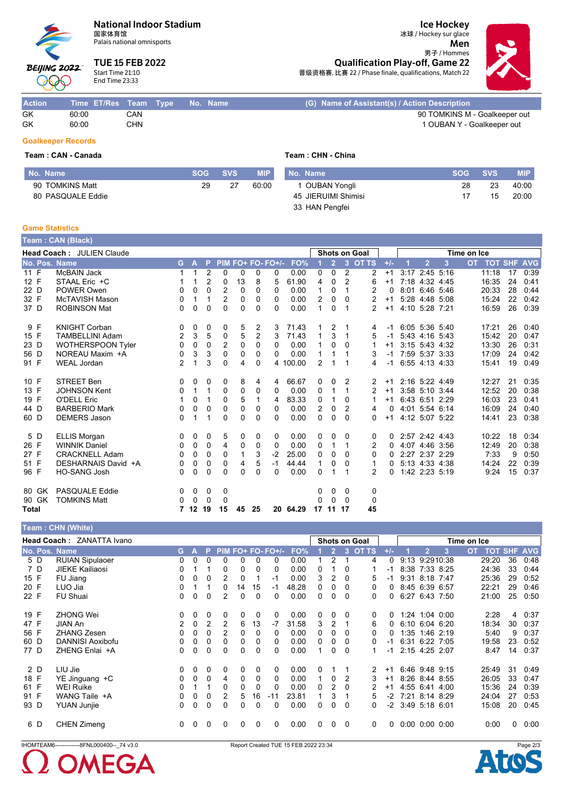### **National Indoor Stadium**

国家体育馆 Palais national omnisports

**TUE 15 FEB 2022** Start Time 21:10 **End Time 23:33** 

**Ice Hockey** 冰球 / Hockey sur glace

Men

男子 / Hommes **Qualification Play-off, Game 22** 晋级资格赛, 比赛 22 / Phase finale, qualifications, Match 22



Action No. Name (G) Name of Assistant(s) / Action Description Time ET/Res Team Type  $GK$ 60:00 CAN 90 TOMKINS M - Goalkeeper out 60:00 CHN GK 1 OUBAN Y - Goalkeeper out **Goalkeeper Records** 

## Team: CAN - Canada

**BEIJING 2022** 

**000** 

| No. Name          | <b>SOG</b> | SVS. | MIP   | No. Name            | <b>SOG</b> | <b>SVS</b> | <b>MIP</b> |
|-------------------|------------|------|-------|---------------------|------------|------------|------------|
| 90 TOMKINS Matt   | 29         | 27   | 60:00 | OUBAN Yongli        | 28         | 23         | 40:00      |
| 80 PASQUALE Eddie |            |      |       | 45 JIERUIMI Shimisi |            | 15         | 20:00      |
|                   |            |      |       | 33 HAN Pengfei      |            |            |            |

Team: CHN - China

#### **Game Statistics**

|              | Team: CAN (Black)                |                |                |                |                |          |                |                   |          |                |                |                |                      |       |                |                |             |                    |    |      |
|--------------|----------------------------------|----------------|----------------|----------------|----------------|----------|----------------|-------------------|----------|----------------|----------------|----------------|----------------------|-------|----------------|----------------|-------------|--------------------|----|------|
|              | <b>Head Coach: JULIEN Claude</b> |                |                |                |                |          |                |                   |          |                |                |                | <b>Shots on Goal</b> |       |                |                | Time on Ice |                    |    |      |
|              | No. Pos. Name                    | G              | $\overline{A}$ | Đ              |                |          |                | PIM FO+ FO- FO+/- | FO%      |                | $\overline{2}$ | $\overline{3}$ | <b>OT TS</b>         | $+/-$ | $\overline{2}$ | 3              | <b>OT</b>   | <b>TOT SHF AVG</b> |    |      |
| 11 F         | McBAIN Jack                      | 1.             | $\mathbf{1}$   | 2              | 0              | $\Omega$ | 0              | 0                 | 0.00     | 0              | $\Omega$       | 2              | 2                    | $+1$  | 3:17 2:45 5:16 |                |             | 11:18              | 17 | 0:39 |
| 12 F         | STAAL Eric +C                    |                |                | $\overline{2}$ | 0              | 13       | 8              | 5                 | 61.90    | 4              | $\Omega$       | $\overline{2}$ | 6                    | $+1$  | 7:18 4:32 4:45 |                |             | 16:35              | 24 | 0:41 |
| 22 D         | POWER Owen                       | 0              | 0              | 0              | 2              | $\Omega$ | $\Omega$       | $\Omega$          | 0.00     | 1              | 0              |                | 2                    | 0     | 8:01 6:46 5:46 |                |             | 20:33              | 28 | 0:44 |
| 32 F         | <b>McTAVISH Mason</b>            | 0              | 1              |                | $\overline{2}$ | 0        | 0              | 0                 | 0.00     | $\overline{2}$ | 0              | $\Omega$       | 2                    | $+1$  | 5:28 4:48 5:08 |                |             | 15:24              | 22 | 0:42 |
| 37 D         | <b>ROBINSON Mat</b>              | 0              | 0              | $\Omega$       | $\Omega$       | $\Omega$ | $\Omega$       | $\Omega$          | 0.00     | $\mathbf{1}$   | 0              |                | $\overline{2}$       | $+1$  | 4:10 5:28 7:21 |                |             | 16:59              | 26 | 0:39 |
| 9 F          | <b>KNIGHT Corban</b>             | $\Omega$       | 0              | 0              | 0              | 5        | 2              | 3                 | 71.43    |                | 2              |                | 4                    | $-1$  | 6:05 5:36 5:40 |                |             | 17:21              | 26 | 0:40 |
| 15 F         | <b>TAMBELLINI Adam</b>           | $\overline{2}$ | 3              | 5              | 0              | 5        | $\overline{2}$ | 3                 | 71.43    | 1              | 3              |                | 5                    | -1    | 5:43 4:16 5:43 |                |             | 15:42              | 20 | 0:47 |
| 23 D         | <b>WOTHERSPOON Tyler</b>         | $\Omega$       | 0              | $\Omega$       | 2              | $\Omega$ | $\Omega$       | $\Omega$          | 0.00     | 1              | 0              | 0              |                      | $+1$  | 3:15 5:43 4:32 |                |             | 13:30              | 26 | 0:31 |
| 56 D         | NOREAU Maxim +A                  | 0              | 3              | 3              | $\Omega$       | 0        | $\Omega$       | 0                 | 0.00     | 1              | 1              |                | 3                    | $-1$  | 7:59 5:37 3:33 |                |             | 17:09              | 24 | 0:42 |
| 91 F         | <b>WEAL Jordan</b>               | $\overline{2}$ |                | 3              | $\Omega$       | 4        | $\Omega$       |                   | 4 100.00 | 2              |                |                | 4                    | $-1$  | 6:55 4:13 4:33 |                |             | 15:41              | 19 | 0:49 |
| 10 F         | <b>STREET Ben</b>                | 0              | 0              | 0              | 0              | 8        | 4              | 4                 | 66.67    | 0              | 0              | 2              | 2                    | $+1$  | 2:16 5:22 4:49 |                |             | 12:27              | 21 | 0:35 |
| 13 F         | <b>JOHNSON Kent</b>              | 0              | $\mathbf{1}$   | 1              | 0              | 0        | 0              | 0                 | 0.00     | 0              | 1              |                | $\overline{2}$       | $+1$  | 3:58 5:10 3:44 |                |             | 12:52              | 20 | 0:38 |
| 19 F         | O'DELL Eric                      |                | 0              |                | $\Omega$       | 5        | 1              | 4                 | 83.33    | $\mathbf{0}$   | 1              | $\Omega$       |                      | $+1$  | 6:43 6:51 2:29 |                |             | 16:03              | 23 | 0:41 |
| 44 D         | <b>BARBERIO Mark</b>             | 0              | 0              | $\Omega$       | 0              | 0        | 0              | 0                 | 0.00     | 2              | 0              | 2              | 4                    | 0     | 4:01 5:54 6:14 |                |             | 16:09              | 24 | 0:40 |
| 60 D         | <b>DEMERS Jason</b>              | 0              |                |                | $\Omega$       | 0        | $\Omega$       | $\Omega$          | 0.00     | 0              | 0              | $\Omega$       | 0                    | $+1$  | 4:12 5:07 5:22 |                |             | 14:41              | 23 | 0:38 |
| 5 D          | <b>ELLIS Morgan</b>              | $\Omega$       | 0              | 0              | 5              | 0        | 0              | 0                 | 0.00     | 0              | 0              | $\Omega$       | 0                    | 0     | 2:57 2:42 4:43 |                |             | 10:22              | 18 | 0:34 |
| 26 F         | <b>WINNIK Daniel</b>             | 0              | 0              | 0              | 4              | 0        | 0              | 0                 | 0.00     | 0              | 1              | 1              | 2                    | 0     | 4:07 4:46 3:56 |                |             | 12:49              | 20 | 0:38 |
| 27 F         | <b>CRACKNELL Adam</b>            | 0              | 0              | $\Omega$       | $\Omega$       |          | 3              | $-2$              | 25.00    | $\Omega$       | 0              | 0              | 0                    | 0     | 2:27 2:37 2:29 |                |             | 7:33               | 9  | 0:50 |
| 51 F         | DESHARNAIS David +A              | 0              | 0              | 0              | $\Omega$       | 4        | 5              | $-1$              | 44.44    | 1              | 0              | 0              |                      | 0     | 5:13 4:33 4:38 |                |             | 14:24              | 22 | 0:39 |
| 96 F         | HO-SANG Josh                     | 0              | 0              | 0              | $\Omega$       | 0        | $\Omega$       | 0                 | 0.00     | 0              | 1              |                | 2                    | 0     |                | 1:42 2:23 5:19 |             | 9:24               | 15 | 0:37 |
| 80 GK        | <b>PASQUALE Eddie</b>            | $\Omega$       | 0              | 0              | 0              |          |                |                   |          | 0              | 0              | 0              | 0                    |       |                |                |             |                    |    |      |
| 90 GK        | <b>TOMKINS Matt</b>              | 0              | $\mathbf 0$    | 0              | 0              |          |                |                   |          | 0              | 0              | $\Omega$       | 0                    |       |                |                |             |                    |    |      |
| <b>Total</b> |                                  |                | 7 12 19        |                | 15             | 45       | 25             |                   | 20 64.29 |                | 17 11 17       |                | 45                   |       |                |                |             |                    |    |      |

|               | Team: CHN (White)                |                |          |                |          |              |          |                   |       |   |                |          |                      |       |             |                      |      |           |          |                    |
|---------------|----------------------------------|----------------|----------|----------------|----------|--------------|----------|-------------------|-------|---|----------------|----------|----------------------|-------|-------------|----------------------|------|-----------|----------|--------------------|
|               | <b>Head Coach: ZANATTA Ivano</b> |                |          |                |          |              |          |                   |       |   |                |          | <b>Shots on Goal</b> |       | Time on Ice |                      |      |           |          |                    |
| No. Pos. Name |                                  | G.             | A        | P.             |          |              |          | PIM FO+ FO- FO+/- | FO%   |   | $\overline{2}$ | 3        | <b>OT TS</b>         | $+/-$ |             | $\overline{2}$       | 3    | <b>OT</b> |          | <b>TOT SHF AVG</b> |
| 5 D           | <b>RUIAN Sipulaoer</b>           | 0              | 0        | 0              | 0        |              | 0        | 0                 | 0.00  |   |                |          | 4                    | 0     |             | 9:13 9:2910:38       |      | 29:20     | 36       | 0:48               |
| 7 D           | <b>JIEKE Kailiaosi</b>           | 0              |          |                | 0        | 0            | 0        | 0                 | 0.00  | 0 |                | $\Omega$ |                      | -1    |             | 8:38 7:33 8:25       |      | 24:36     | 33       | 0:44               |
| 15 F          | FU Jiang                         | 0              | 0        | 0              | 2        | 0            |          | -1                | 0.00  | 3 | 2              | $\Omega$ | 5                    | -1    |             | 9:31 8:18 7:47       |      | 25:36     | 29       | 0:52               |
| 20 F          | LUO Jia                          | 0              |          |                | 0        | 14           | 15       | -1                | 48.28 | 0 | 0              | $\Omega$ | 0                    | 0     |             | 8:45 6:39 6:57       |      | 22:21     | 29       | 0:46               |
| 22 F          | <b>FU Shuai</b>                  | 0              | 0        | $\Omega$       | 2        | $\Omega$     | $\Omega$ | $\Omega$          | 0.00  | 0 | 0              | $\Omega$ | 0                    | 0     |             | 6:27 6:43 7:50       |      | 21:00     | 25       | 0:50               |
|               |                                  |                |          |                |          |              |          |                   |       |   |                |          |                      |       |             |                      |      |           |          |                    |
| 19 F          | <b>ZHONG Wei</b>                 | 0              | 0        | 0              | 0        | 0            | 0        | 0                 | 0.00  | 0 | 0              | $\Omega$ | 0                    | 0     |             | 1:24 1:04 0:00       |      | 2:28      | 4        | 0:37               |
| 47 F          | JIAN An                          | $\overline{2}$ | $\Omega$ | $\overline{2}$ | 2        | 6            | 13       | -7                | 31.58 | 3 | 2              | -1       | 6                    | 0     |             | $6:10$ $6:04$ $6:20$ |      | 18:34     | 30       | 0:37               |
| 56 F          | <b>ZHANG Zesen</b>               | 0              | 0        | 0              | 2        | 0            | 0        | 0                 | 0.00  | 0 | 0              | $\Omega$ | 0                    | 0     |             | 1:35 1:46 2:19       |      | 5.40      | 9        | 0:37               |
| 60 D          | <b>DANNISI Aoxibofu</b>          | 0              | 0        | 0              | $\Omega$ | 0            | 0        | 0                 | 0.00  | 0 | 0              | $\Omega$ | 0                    | $-1$  |             | 6:31 6:22 7:05       |      | 19:58     | 23       | 0:52               |
| 77 D          | ZHENG Enlai +A                   | 0              | 0        | 0              | $\Omega$ | 0            | 0        | 0                 | 0.00  |   | $\Omega$       | $\Omega$ |                      | -1    |             | 2:15 4:25 2:07       |      | 8:47      | 14       | 0:37               |
|               |                                  |                |          |                |          |              |          |                   |       |   |                |          |                      |       |             |                      |      |           |          |                    |
| 2 D           | LIU Jie                          | 0              | 0        | 0              | 0        | $\mathbf{0}$ | 0        | 0                 | 0.00  | 0 |                |          | 2                    | $+1$  |             | 6:46 9:48 9:15       |      | 25:49     | 31       | 0:49               |
| 18 F          | YE Jinguang +C                   | 0              | 0        | $\Omega$       | 4        | 0            | 0        | 0                 | 0.00  |   | 0              | 2        | 3                    | $+1$  |             | 8:26 8:44 8:55       |      | 26:05     | 33       | 0:47               |
| 61 F          | <b>WEI Ruike</b>                 | 0              |          |                | $\Omega$ | $\Omega$     | 0        | 0                 | 0.00  | 0 | 2              | $\Omega$ | 2                    | $+1$  |             | 4:55 6:41            | 4:00 | 15:36     | 24       | 0:39               |
| 91 F          | WANG Taile +A                    | 0              | 0        | 0              | 2        | 5            | 16       | $-11$             | 23.81 |   | 3              |          | 5                    | -2    |             | 7:21 8:14 8:29       |      | 24:04     | 27       | 0:53               |
| 93 D          | <b>YUAN Junjie</b>               | 0              | 0        | $\Omega$       | $\Omega$ | 0            | 0        | $\Omega$          | 0.00  | 0 | 0              | $\Omega$ | 0                    | -2    |             | 3:49 5:18 6:01       |      | 15:08     | 20       | 0:45               |
| 6 D           | <b>CHEN Zimeng</b>               | 0              | 0        | 0              | 0        | $\Omega$     | 0        | 0                 | 0.00  | 0 | 0              | $\Omega$ | 0                    | 0     |             | $0.00$ $0.00$ $0.00$ |      | 0:00      | $\Omega$ | 0:00               |

IHOMTEAM6------------------8FNL000400--\_74 v3.0